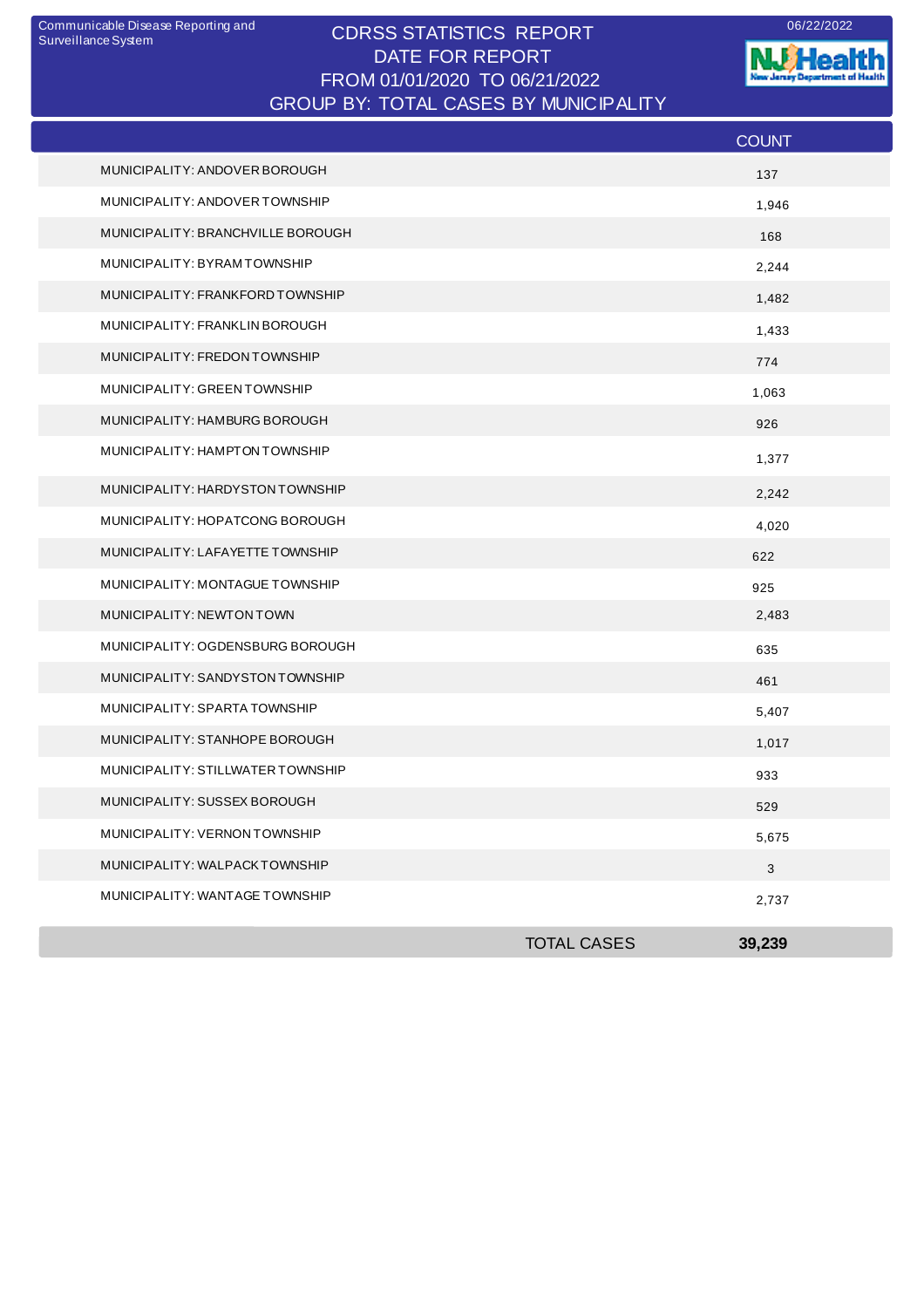## CDRSS STATISTICS REPORT Communicable Disease Reporting and 06/22/2022 DATE FOR REPORT FROM 01/01/2020 TO 06/21/2022 GROUP BY: TOTAL CASES BY MUNICIPALITY

**W**Health Jersey Departm est of Health

|                                   |                    | <b>COUNT</b> |
|-----------------------------------|--------------------|--------------|
| MUNICIPALITY: ANDOVER BOROUGH     |                    | 137          |
| MUNICIPALITY: ANDOVER TOWNSHIP    |                    | 1,946        |
| MUNICIPALITY: BRANCHVILLE BOROUGH |                    | 168          |
| MUNICIPALITY: BYRAMTOWNSHIP       |                    | 2,244        |
| MUNICIPALITY: FRANKFORD TOWNSHIP  |                    | 1,482        |
| MUNICIPALITY: FRANKLIN BOROUGH    |                    | 1,433        |
| MUNICIPALITY: FREDON TOWNSHIP     |                    | 774          |
| MUNICIPALITY: GREEN TOWNSHIP      |                    | 1,063        |
| MUNICIPALITY: HAMBURG BOROUGH     |                    | 926          |
| MUNICIPALITY: HAMPTON TOWNSHIP    |                    | 1,377        |
| MUNICIPALITY: HARDYSTON TOWNSHIP  |                    | 2,242        |
| MUNICIPALITY: HOPATCONG BOROUGH   |                    | 4,020        |
| MUNICIPALITY: LAFAYETTE TOWNSHIP  |                    | 622          |
| MUNICIPALITY: MONTAGUE TOWNSHIP   |                    | 925          |
| MUNICIPALITY: NEWTON TOWN         |                    | 2,483        |
| MUNICIPALITY: OGDENSBURG BOROUGH  |                    | 635          |
| MUNICIPALITY: SANDYSTON TOWNSHIP  |                    | 461          |
| MUNICIPALITY: SPARTA TOWNSHIP     |                    | 5,407        |
| MUNICIPALITY: STANHOPE BOROUGH    |                    | 1,017        |
| MUNICIPALITY: STILLWATER TOWNSHIP |                    | 933          |
| MUNICIPALITY: SUSSEX BOROUGH      |                    | 529          |
| MUNICIPALITY: VERNON TOWNSHIP     |                    | 5,675        |
| MUNICIPALITY: WALPACKTOWNSHIP     |                    | $\mathbf{3}$ |
| MUNICIPALITY: WANTAGE TOWNSHIP    |                    | 2,737        |
|                                   | <b>TOTAL CASES</b> | 39,239       |